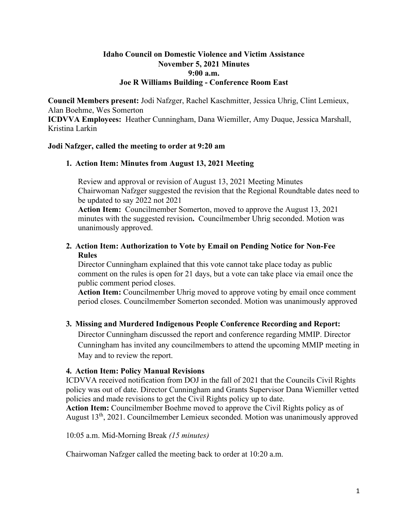### **Idaho Council on Domestic Violence and Victim Assistance November 5, 2021 Minutes 9:00 a.m. Joe R Williams Building - Conference Room East**

**Council Members present:** Jodi Nafzger, Rachel Kaschmitter, Jessica Uhrig, Clint Lemieux, Alan Boehme, Wes Somerton

**ICDVVA Employees:** Heather Cunningham, Dana Wiemiller, Amy Duque, Jessica Marshall, Kristina Larkin

### **Jodi Nafzger, called the meeting to order at 9:20 am**

### **1. Action Item: Minutes from August 13, 2021 Meeting**

Review and approval or revision of August 13, 2021 Meeting Minutes Chairwoman Nafzger suggested the revision that the Regional Roundtable dates need to be updated to say 2022 not 2021

**Action Item:** Councilmember Somerton, moved to approve the August 13, 2021 minutes with the suggested revision**.** Councilmember Uhrig seconded. Motion was unanimously approved.

### **2. Action Item: Authorization to Vote by Email on Pending Notice for Non-Fee Rules**

Director Cunningham explained that this vote cannot take place today as public comment on the rules is open for 21 days, but a vote can take place via email once the public comment period closes.

**Action Item:** Councilmember Uhrig moved to approve voting by email once comment period closes. Councilmember Somerton seconded. Motion was unanimously approved

# **3. Missing and Murdered Indigenous People Conference Recording and Report:**

Director Cunningham discussed the report and conference regarding MMIP. Director Cunningham has invited any councilmembers to attend the upcoming MMIP meeting in May and to review the report.

# **4. Action Item: Policy Manual Revisions**

ICDVVA received notification from DOJ in the fall of 2021 that the Councils Civil Rights policy was out of date. Director Cunningham and Grants Supervisor Dana Wiemiller vetted policies and made revisions to get the Civil Rights policy up to date.

**Action Item:** Councilmember Boehme moved to approve the Civil Rights policy as of August 13th, 2021. Councilmember Lemieux seconded. Motion was unanimously approved

10:05 a.m. Mid-Morning Break *(15 minutes)* 

Chairwoman Nafzger called the meeting back to order at 10:20 a.m.